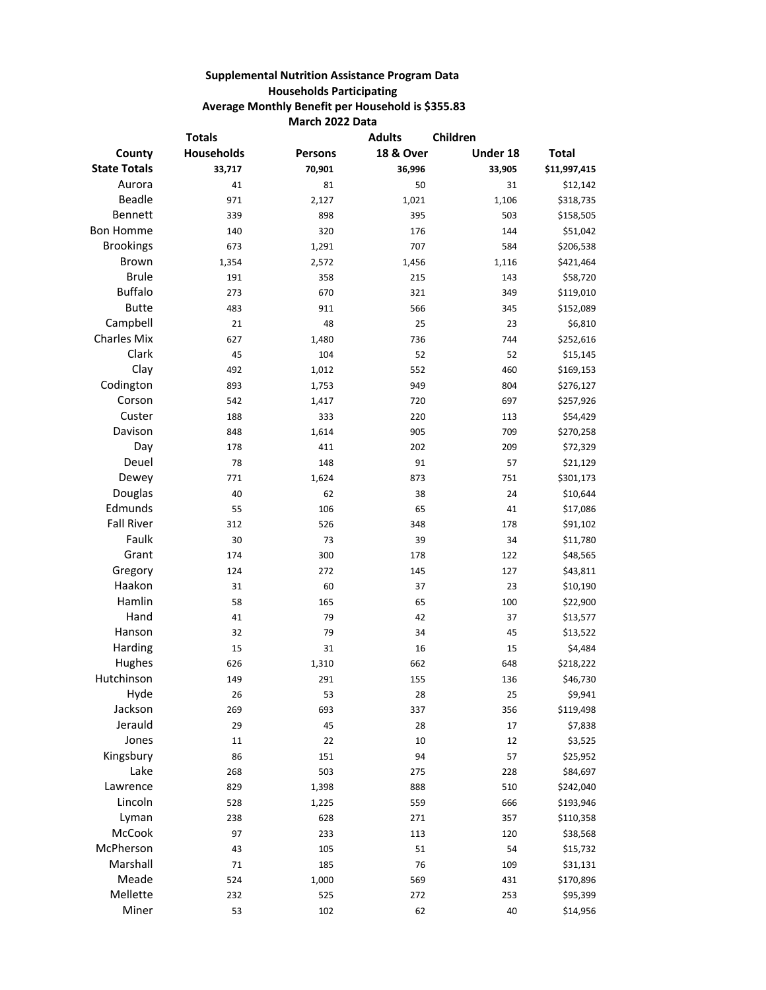## **Supplemental Nutrition Assistance Program Data Households Participating Average Monthly Benefit per Household is \$355.83 March 2022 Data**

| <b>Totals</b>       |                   |                | Children<br><b>Adults</b> |          |              |
|---------------------|-------------------|----------------|---------------------------|----------|--------------|
| County              | <b>Households</b> | <b>Persons</b> | <b>18 &amp; Over</b>      | Under 18 | <b>Total</b> |
| <b>State Totals</b> | 33,717            | 70,901         | 36,996                    | 33,905   | \$11,997,415 |
| Aurora              | 41                | 81             | 50                        | 31       | \$12,142     |
| <b>Beadle</b>       | 971               | 2,127          | 1,021                     | 1,106    | \$318,735    |
| Bennett             | 339               | 898            | 395                       | 503      | \$158,505    |
| <b>Bon Homme</b>    | 140               | 320            | 176                       | 144      | \$51,042     |
| <b>Brookings</b>    | 673               | 1,291          | 707                       | 584      | \$206,538    |
| <b>Brown</b>        | 1,354             | 2,572          | 1,456                     | 1,116    | \$421,464    |
| <b>Brule</b>        | 191               | 358            | 215                       | 143      | \$58,720     |
| <b>Buffalo</b>      | 273               | 670            | 321                       | 349      | \$119,010    |
| <b>Butte</b>        | 483               | 911            | 566                       | 345      | \$152,089    |
| Campbell            | 21                | 48             | 25                        | 23       | \$6,810      |
| <b>Charles Mix</b>  | 627               | 1,480          | 736                       | 744      | \$252,616    |
| Clark               | 45                | 104            | 52                        | 52       | \$15,145     |
| Clay                | 492               | 1,012          | 552                       | 460      | \$169,153    |
| Codington           | 893               | 1,753          | 949                       | 804      | \$276,127    |
| Corson              | 542               | 1,417          | 720                       | 697      | \$257,926    |
| Custer              | 188               | 333            | 220                       | 113      | \$54,429     |
| Davison             | 848               | 1,614          | 905                       | 709      | \$270,258    |
| Day                 | 178               | 411            | 202                       | 209      | \$72,329     |
| Deuel               | 78                | 148            | 91                        | 57       | \$21,129     |
| Dewey               | 771               | 1,624          | 873                       | 751      | \$301,173    |
| Douglas             | 40                | 62             | 38                        | 24       | \$10,644     |
| Edmunds             | 55                | 106            | 65                        | 41       | \$17,086     |
| <b>Fall River</b>   | 312               | 526            | 348                       | 178      | \$91,102     |
| Faulk               | 30                | 73             | 39                        | 34       | \$11,780     |
| Grant               | 174               | 300            | 178                       | 122      | \$48,565     |
| Gregory             | 124               | 272            | 145                       | 127      | \$43,811     |
| Haakon              | 31                | 60             | 37                        | 23       | \$10,190     |
| Hamlin              | 58                | 165            | 65                        | 100      | \$22,900     |
| Hand                | 41                | 79             | 42                        | 37       | \$13,577     |
| Hanson              | 32                | 79             | 34                        | 45       | \$13,522     |
| Harding             | 15                | 31             | 16                        | 15       | \$4,484      |
| Hughes              | 626               | 1,310          | 662                       | 648      | \$218,222    |
| Hutchinson          | 149               | 291            | 155                       | 136      | \$46,730     |
| Hyde                | 26                | 53             | 28                        | 25       | \$9,941      |
| Jackson             | 269               | 693            | 337                       | 356      | \$119,498    |
| Jerauld             | 29                | 45             | 28                        | 17       | \$7,838      |
| Jones               | 11                | 22             | 10                        | 12       | \$3,525      |
| Kingsbury           | 86                | 151            | 94                        | 57       | \$25,952     |
| Lake                | 268               | 503            | 275                       | 228      | \$84,697     |
| Lawrence            | 829               | 1,398          | 888                       | 510      | \$242,040    |
| Lincoln             | 528               | 1,225          | 559                       | 666      | \$193,946    |
| Lyman               | 238               | 628            | 271                       | 357      | \$110,358    |
| McCook              | 97                | 233            | 113                       | 120      | \$38,568     |
| McPherson           | 43                | 105            | 51                        | 54       | \$15,732     |
| Marshall            | 71                | 185            | 76                        | 109      | \$31,131     |
| Meade               | 524               | 1,000          | 569                       | 431      | \$170,896    |
| Mellette            | 232               | 525            | 272                       | 253      | \$95,399     |
| Miner               | 53                | 102            | 62                        | 40       | \$14,956     |